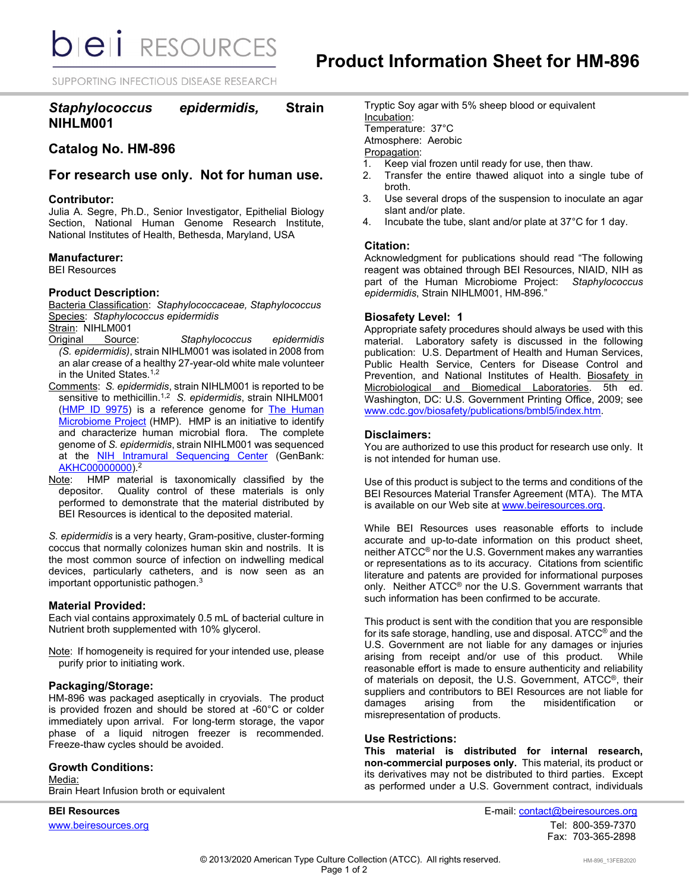**bieli** RESOURCES

SUPPORTING INFECTIOUS DISEASE RESEARCH

# *Staphylococcus epidermidis,* **Strain NIHLM001**

# **Catalog No. HM-896**

# **For research use only. Not for human use.**

### **Contributor:**

Julia A. Segre, Ph.D., Senior Investigator, Epithelial Biology Section, National Human Genome Research Institute, National Institutes of Health, Bethesda, Maryland, USA

#### **Manufacturer:**

BEI Resources

# **Product Description:**

Bacteria Classification: *Staphylococcaceae, Staphylococcus* Species: *Staphylococcus epidermidis* Strain: NIHLM001

- Original Source: *Staphylococcus epidermidis (S. epidermidis)*, strain NIHLM001 was isolated in 2008 from an alar crease of a healthy 27-year-old white male volunteer in the United States. 1,2
- Comments: *S. epidermidis*, strain NIHLM001 is reported to be sensitive to methicillin.1,2 *S. epidermidis*, strain NIHLM001 [\(HMP ID 9975\)](https://www.hmpdacc.org/hmp/catalog/grid.php?dataset=genomic) is a reference genome for [The Human](https://www.hmpdacc.org/)  [Microbiome Project](https://www.hmpdacc.org/) (HMP). HMP is an initiative to identify and characterize human microbial flora. The complete genome of *S. epidermidis*, strain NIHLM001 was sequenced at the [NIH Intramural Sequencing Center](http://www.nisc.nih.gov/) (GenBank: [AKHC00000000\)](http://www.ncbi.nlm.nih.gov/nucleotide/AKHC00000000?).<sup>2</sup>
- Note: HMP material is taxonomically classified by the depositor. Quality control of these materials is only performed to demonstrate that the material distributed by BEI Resources is identical to the deposited material.

*S. epidermidis* is a very hearty, Gram-positive, cluster-forming coccus that normally colonizes human skin and nostrils. It is the most common source of infection on indwelling medical devices, particularly catheters, and is now seen as an important opportunistic pathogen. $^3$ 

#### **Material Provided:**

Each vial contains approximately 0.5 mL of bacterial culture in Nutrient broth supplemented with 10% glycerol.

Note: If homogeneity is required for your intended use, please purify prior to initiating work.

## **Packaging/Storage:**

HM-896 was packaged aseptically in cryovials. The product is provided frozen and should be stored at -60°C or colder immediately upon arrival. For long-term storage, the vapor phase of a liquid nitrogen freezer is recommended. Freeze-thaw cycles should be avoided.

## **Growth Conditions:**

Media: Brain Heart Infusion broth or equivalent

Tryptic Soy agar with 5% sheep blood or equivalent Incubation: Temperature: 37°C Atmosphere: Aerobic Propagation:<br>1. Keep via

- 1. Keep vial frozen until ready for use, then thaw.
- Transfer the entire thawed aliquot into a single tube of broth.
- 3. Use several drops of the suspension to inoculate an agar slant and/or plate.
- 4. Incubate the tube, slant and/or plate at 37°C for 1 day.

#### **Citation:**

Acknowledgment for publications should read "The following reagent was obtained through BEI Resources, NIAID, NIH as part of the Human Microbiome Project: *Staphylococcus epidermidis*, Strain NIHLM001, HM-896."

#### **Biosafety Level: 1**

Appropriate safety procedures should always be used with this material. Laboratory safety is discussed in the following publication: U.S. Department of Health and Human Services, Public Health Service, Centers for Disease Control and Prevention, and National Institutes of Health. Biosafety in Microbiological and Biomedical Laboratories. 5th ed. Washington, DC: U.S. Government Printing Office, 2009; see [www.cdc.gov/biosafety/publications/bmbl5/index.htm.](http://www.cdc.gov/biosafety/publications/bmbl5/index.htm)

## **Disclaimers:**

You are authorized to use this product for research use only. It is not intended for human use.

Use of this product is subject to the terms and conditions of the BEI Resources Material Transfer Agreement (MTA). The MTA is available on our Web site a[t www.beiresources.org.](http://www.beiresources.org/)

While BEI Resources uses reasonable efforts to include accurate and up-to-date information on this product sheet, neither ATCC® nor the U.S. Government makes any warranties or representations as to its accuracy. Citations from scientific literature and patents are provided for informational purposes only. Neither ATCC® nor the U.S. Government warrants that such information has been confirmed to be accurate.

This product is sent with the condition that you are responsible for its safe storage, handling, use and disposal. ATCC® and the U.S. Government are not liable for any damages or injuries arising from receipt and/or use of this product. While reasonable effort is made to ensure authenticity and reliability of materials on deposit, the U.S. Government, ATCC®, their suppliers and contributors to BEI Resources are not liable for damages arising from the misidentification or misrepresentation of products.

#### **Use Restrictions:**

**This material is distributed for internal research, non-commercial purposes only.** This material, its product or its derivatives may not be distributed to third parties. Except as performed under a U.S. Government contract, individuals